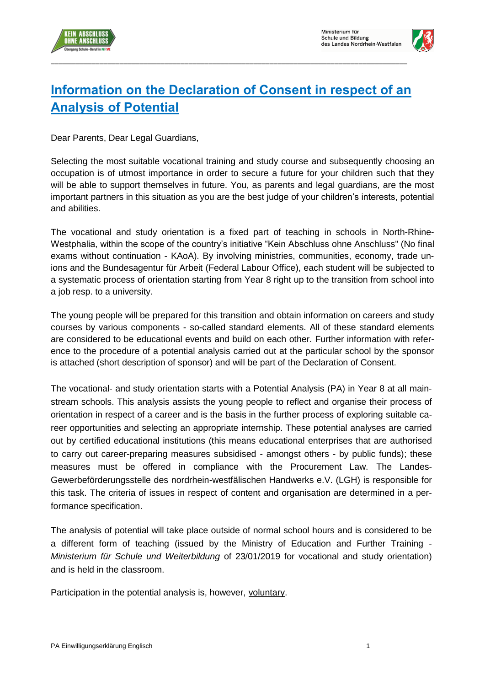



## **Information on the Declaration of Consent in respect of an Analysis of Potential**

\_\_\_\_\_\_\_\_\_\_\_\_\_\_\_\_\_\_\_\_\_\_\_\_\_\_\_\_\_\_\_\_\_\_\_\_\_\_\_\_\_\_\_\_\_\_\_\_\_\_\_\_\_\_\_\_\_\_\_\_\_\_\_\_\_\_\_\_\_\_\_\_\_\_\_\_\_\_\_\_\_\_\_\_\_\_\_\_

Dear Parents, Dear Legal Guardians,

Selecting the most suitable vocational training and study course and subsequently choosing an occupation is of utmost importance in order to secure a future for your children such that they will be able to support themselves in future. You, as parents and legal guardians, are the most important partners in this situation as you are the best judge of your children's interests, potential and abilities.

The vocational and study orientation is a fixed part of teaching in schools in North-Rhine-Westphalia, within the scope of the country's initiative "Kein Abschluss ohne Anschluss" (No final exams without continuation - KAoA). By involving ministries, communities, economy, trade unions and the Bundesagentur für Arbeit (Federal Labour Office), each student will be subjected to a systematic process of orientation starting from Year 8 right up to the transition from school into a job resp. to a university.

The young people will be prepared for this transition and obtain information on careers and study courses by various components - so-called standard elements. All of these standard elements are considered to be educational events and build on each other. Further information with reference to the procedure of a potential analysis carried out at the particular school by the sponsor is attached (short description of sponsor) and will be part of the Declaration of Consent.

The vocational- and study orientation starts with a Potential Analysis (PA) in Year 8 at all mainstream schools. This analysis assists the young people to reflect and organise their process of orientation in respect of a career and is the basis in the further process of exploring suitable career opportunities and selecting an appropriate internship. These potential analyses are carried out by certified educational institutions (this means educational enterprises that are authorised to carry out career-preparing measures subsidised - amongst others - by public funds); these measures must be offered in compliance with the Procurement Law. The Landes-Gewerbeförderungsstelle des nordrhein-westfälischen Handwerks e.V. (LGH) is responsible for this task. The criteria of issues in respect of content and organisation are determined in a performance specification.

The analysis of potential will take place outside of normal school hours and is considered to be a different form of teaching (issued by the Ministry of Education and Further Training - *Ministerium für Schule und Weiterbildung* of 23/01/2019 for vocational and study orientation) and is held in the classroom.

Participation in the potential analysis is, however, voluntary.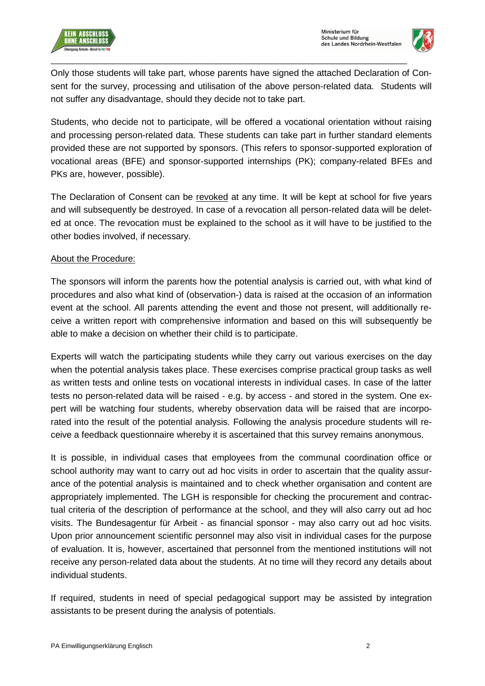

Only those students will take part, whose parents have signed the attached Declaration of Consent for the survey, processing and utilisation of the above person-related data. Students will not suffer any disadvantage, should they decide not to take part.

\_\_\_\_\_\_\_\_\_\_\_\_\_\_\_\_\_\_\_\_\_\_\_\_\_\_\_\_\_\_\_\_\_\_\_\_\_\_\_\_\_\_\_\_\_\_\_\_\_\_\_\_\_\_\_\_\_\_\_\_\_\_\_\_\_\_\_\_\_\_\_\_\_\_\_\_\_\_\_\_\_\_\_\_\_\_\_\_

Students, who decide not to participate, will be offered a vocational orientation without raising and processing person-related data. These students can take part in further standard elements provided these are not supported by sponsors. (This refers to sponsor-supported exploration of vocational areas (BFE) and sponsor-supported internships (PK); company-related BFEs and PKs are, however, possible).

The Declaration of Consent can be revoked at any time. It will be kept at school for five years and will subsequently be destroyed. In case of a revocation all person-related data will be deleted at once. The revocation must be explained to the school as it will have to be justified to the other bodies involved, if necessary.

## About the Procedure:

The sponsors will inform the parents how the potential analysis is carried out, with what kind of procedures and also what kind of (observation-) data is raised at the occasion of an information event at the school. All parents attending the event and those not present, will additionally receive a written report with comprehensive information and based on this will subsequently be able to make a decision on whether their child is to participate.

Experts will watch the participating students while they carry out various exercises on the day when the potential analysis takes place. These exercises comprise practical group tasks as well as written tests and online tests on vocational interests in individual cases. In case of the latter tests no person-related data will be raised - e.g. by access - and stored in the system. One expert will be watching four students, whereby observation data will be raised that are incorporated into the result of the potential analysis. Following the analysis procedure students will receive a feedback questionnaire whereby it is ascertained that this survey remains anonymous.

It is possible, in individual cases that employees from the communal coordination office or school authority may want to carry out ad hoc visits in order to ascertain that the quality assurance of the potential analysis is maintained and to check whether organisation and content are appropriately implemented. The LGH is responsible for checking the procurement and contractual criteria of the description of performance at the school, and they will also carry out ad hoc visits. The Bundesagentur für Arbeit - as financial sponsor - may also carry out ad hoc visits. Upon prior announcement scientific personnel may also visit in individual cases for the purpose of evaluation. It is, however, ascertained that personnel from the mentioned institutions will not receive any person-related data about the students. At no time will they record any details about individual students.

If required, students in need of special pedagogical support may be assisted by integration assistants to be present during the analysis of potentials.